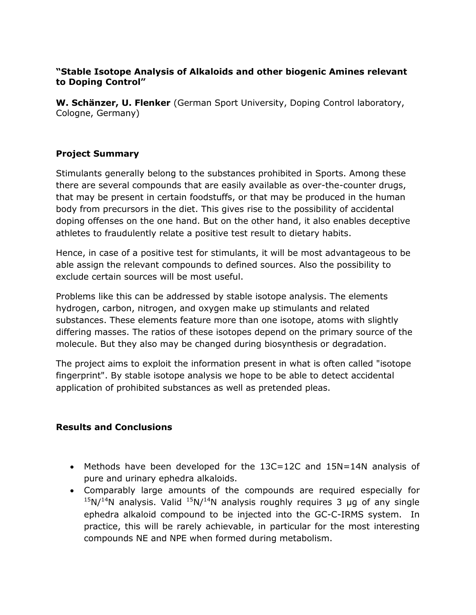## **"Stable Isotope Analysis of Alkaloids and other biogenic Amines relevant to Doping Control"**

**W. Schänzer, U. Flenker** (German Sport University, Doping Control laboratory, Cologne, Germany)

## **Project Summary**

Stimulants generally belong to the substances prohibited in Sports. Among these there are several compounds that are easily available as over-the-counter drugs, that may be present in certain foodstuffs, or that may be produced in the human body from precursors in the diet. This gives rise to the possibility of accidental doping offenses on the one hand. But on the other hand, it also enables deceptive athletes to fraudulently relate a positive test result to dietary habits.

Hence, in case of a positive test for stimulants, it will be most advantageous to be able assign the relevant compounds to defined sources. Also the possibility to exclude certain sources will be most useful.

Problems like this can be addressed by stable isotope analysis. The elements hydrogen, carbon, nitrogen, and oxygen make up stimulants and related substances. These elements feature more than one isotope, atoms with slightly differing masses. The ratios of these isotopes depend on the primary source of the molecule. But they also may be changed during biosynthesis or degradation.

The project aims to exploit the information present in what is often called "isotope fingerprint". By stable isotope analysis we hope to be able to detect accidental application of prohibited substances as well as pretended pleas.

## **Results and Conclusions**

- Methods have been developed for the 13C=12C and 15N=14N analysis of pure and urinary ephedra alkaloids.
- Comparably large amounts of the compounds are required especially for  $15N/14N$  analysis. Valid  $15N/14N$  analysis roughly requires 3 µg of any single ephedra alkaloid compound to be injected into the GC-C-IRMS system. In practice, this will be rarely achievable, in particular for the most interesting compounds NE and NPE when formed during metabolism.